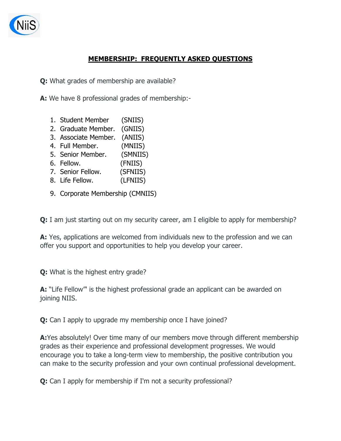

## **MEMBERSHIP: FREQUENTLY ASKED QUESTIONS**

**Q:** What grades of membership are available?

**A:** We have 8 professional grades of membership:-

- 1. Student Member (SNIIS)
- 2. Graduate Member. (GNIIS)
- 3. Associate Member. (ANIIS)
- 4. Full Member. (MNIIS)
- 5. Senior Member. (SMNIIS)
- 6. Fellow. (FNIIS)
- 7. Senior Fellow. (SFNIIS)
- 8. Life Fellow. (LFNIIS)
- 9. Corporate Membership (CMNIIS)

**Q:** I am just starting out on my security career, am I eligible to apply for membership?

**A:** Yes, applications are welcomed from individuals new to the profession and we can offer you support and opportunities to help you develop your career.

**Q:** What is the highest entry grade?

**A:** "Life Fellow"' is the highest professional grade an applicant can be awarded on joining NIIS.

**Q:** Can I apply to upgrade my membership once I have joined?

**A:**Yes absolutely! Over time many of our members move through different membership grades as their experience and professional development progresses. We would encourage you to take a long-term view to membership, the positive contribution you can make to the security profession and your own continual professional development.

**Q:** Can I apply for membership if I'm not a security professional?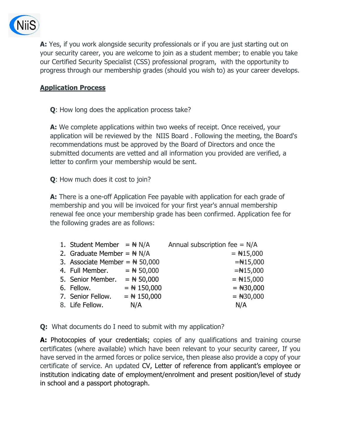

**A:** Yes, if you work alongside security professionals or if you are just starting out on your security career, you are welcome to join as a student member; to enable you take our Certified Security Specialist (CSS) professional program, with the opportunity to progress through our membership grades (should you wish to) as your career develops.

## **Application Process**

**Q**: How long does the application process take?

**A:** We complete applications within two weeks of receipt. Once received, your application will be reviewed by the NIIS Board . Following the meeting, the Board's recommendations must be approved by the Board of Directors and once the submitted documents are vetted and all information you provided are verified, a letter to confirm your membership would be sent.

**Q**: How much does it cost to join?

**A:** There is a one-off Application Fee payable with application for each grade of membership and you will be invoiced for your first year's annual membership renewal fee once your membership grade has been confirmed. Application fee for the following grades are as follows:

| 1. Student Member = $\# N/A$      |               | Annual subscription fee = $N/A$ |
|-----------------------------------|---------------|---------------------------------|
| 2. Graduate Member = $\# N/A$     |               | $=$ #15,000                     |
| 3. Associate Member = $\# 50,000$ |               | $=\#15,000$                     |
| 4. Full Member. $=$ # 50,000      |               | $=\#15,000$                     |
| 5. Senior Member. = $\# 50,000$   |               | $=$ #15,000                     |
| 6. Fellow.                        | $=$ # 150,000 | $=$ #30,000                     |
| 7. Senior Fellow.                 | $=$ # 150,000 | $=$ #30,000                     |
| 8. Life Fellow.                   | N/A           | N/A                             |

**Q:** What documents do I need to submit with my application?

A: Photocopies of your credentials; copies of any qualifications and training course certificates (where available) which have been relevant to your security career, If you have served in the armed forces or police service, then please also provide a copy of your certificate of service. An updated CV, Letter of reference from applicant's employee or institution indicating date of employment/enrolment and present position/level of study in school and a passport photograph.